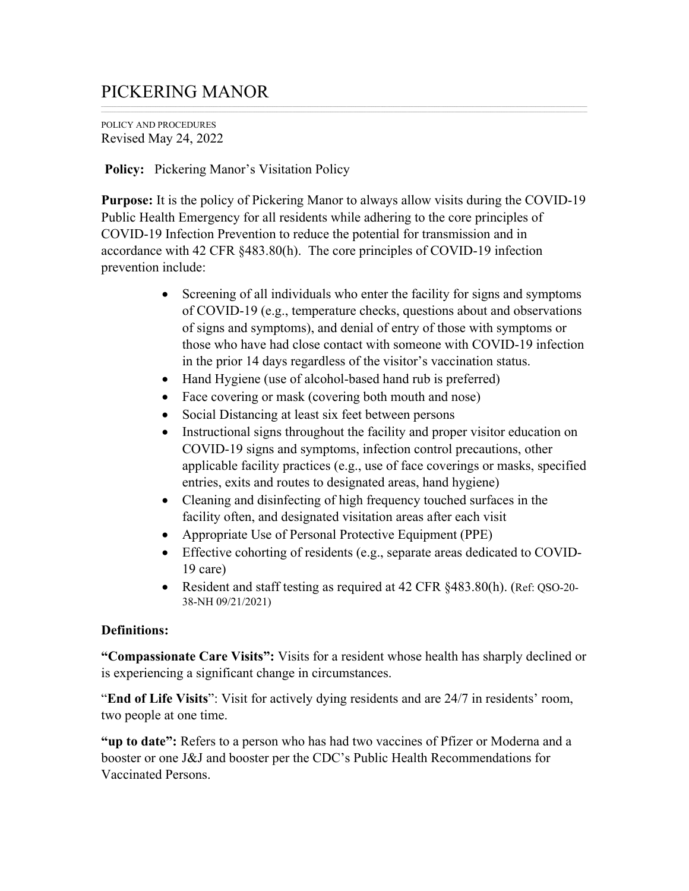## PICKERING MANOR

POLICY AND PROCEDURES Revised May 24, 2022

## **Policy:** Pickering Manor's Visitation Policy

**Purpose:** It is the policy of Pickering Manor to always allow visits during the COVID-19 Public Health Emergency for all residents while adhering to the core principles of COVID-19 Infection Prevention to reduce the potential for transmission and in accordance with 42 CFR §483.80(h). The core principles of COVID-19 infection prevention include:

- Screening of all individuals who enter the facility for signs and symptoms of COVID-19 (e.g., temperature checks, questions about and observations of signs and symptoms), and denial of entry of those with symptoms or those who have had close contact with someone with COVID-19 infection in the prior 14 days regardless of the visitor's vaccination status.
- Hand Hygiene (use of alcohol-based hand rub is preferred)
- Face covering or mask (covering both mouth and nose)
- Social Distancing at least six feet between persons
- Instructional signs throughout the facility and proper visitor education on COVID-19 signs and symptoms, infection control precautions, other applicable facility practices (e.g., use of face coverings or masks, specified entries, exits and routes to designated areas, hand hygiene)
- Cleaning and disinfecting of high frequency touched surfaces in the facility often, and designated visitation areas after each visit
- Appropriate Use of Personal Protective Equipment (PPE)
- Effective cohorting of residents (e.g., separate areas dedicated to COVID-19 care)
- Resident and staff testing as required at 42 CFR §483.80(h). (Ref: QSO-20-38-NH 09/21/2021)

## **Definitions:**

**"Compassionate Care Visits":** Visits for a resident whose health has sharply declined or is experiencing a significant change in circumstances.

"**End of Life Visits**": Visit for actively dying residents and are 24/7 in residents' room, two people at one time.

**"up to date":** Refers to a person who has had two vaccines of Pfizer or Moderna and a booster or one J&J and booster per the CDC's Public Health Recommendations for Vaccinated Persons.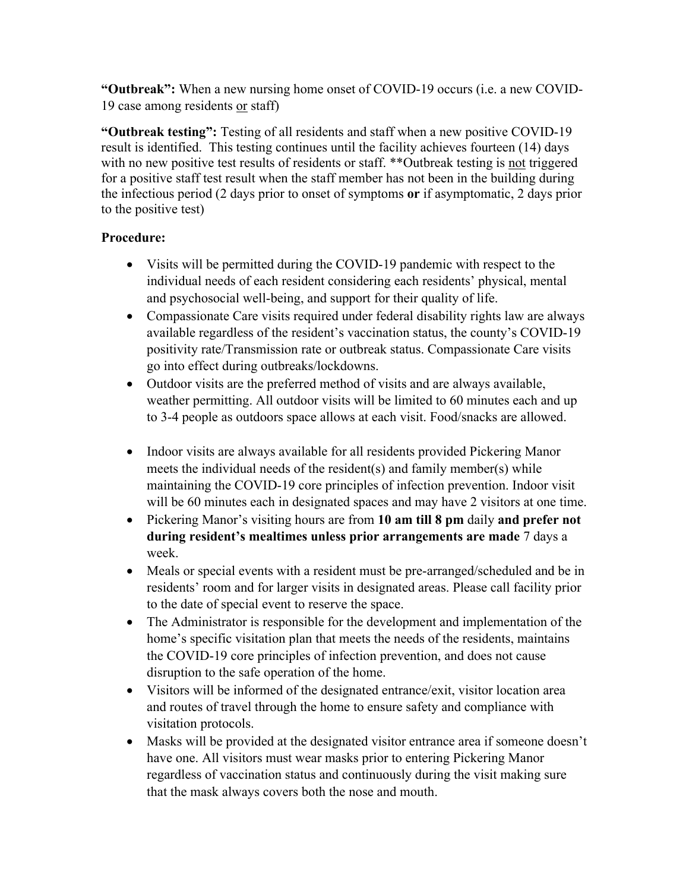**"Outbreak":** When a new nursing home onset of COVID-19 occurs (i.e. a new COVID-19 case among residents or staff)

**"Outbreak testing":** Testing of all residents and staff when a new positive COVID-19 result is identified. This testing continues until the facility achieves fourteen (14) days with no new positive test results of residents or staff. \*\*Outbreak testing is not triggered for a positive staff test result when the staff member has not been in the building during the infectious period (2 days prior to onset of symptoms **or** if asymptomatic, 2 days prior to the positive test)

## **Procedure:**

- Visits will be permitted during the COVID-19 pandemic with respect to the individual needs of each resident considering each residents' physical, mental and psychosocial well-being, and support for their quality of life.
- Compassionate Care visits required under federal disability rights law are always available regardless of the resident's vaccination status, the county's COVID-19 positivity rate/Transmission rate or outbreak status. Compassionate Care visits go into effect during outbreaks/lockdowns.
- Outdoor visits are the preferred method of visits and are always available, weather permitting. All outdoor visits will be limited to 60 minutes each and up to 3-4 people as outdoors space allows at each visit. Food/snacks are allowed.
- Indoor visits are always available for all residents provided Pickering Manor meets the individual needs of the resident(s) and family member(s) while maintaining the COVID-19 core principles of infection prevention. Indoor visit will be 60 minutes each in designated spaces and may have 2 visitors at one time.
- Pickering Manor's visiting hours are from **10 am till 8 pm** daily **and prefer not during resident's mealtimes unless prior arrangements are made** 7 days a week.
- Meals or special events with a resident must be pre-arranged/scheduled and be in residents' room and for larger visits in designated areas. Please call facility prior to the date of special event to reserve the space.
- The Administrator is responsible for the development and implementation of the home's specific visitation plan that meets the needs of the residents, maintains the COVID-19 core principles of infection prevention, and does not cause disruption to the safe operation of the home.
- Visitors will be informed of the designated entrance/exit, visitor location area and routes of travel through the home to ensure safety and compliance with visitation protocols.
- Masks will be provided at the designated visitor entrance area if someone doesn't have one. All visitors must wear masks prior to entering Pickering Manor regardless of vaccination status and continuously during the visit making sure that the mask always covers both the nose and mouth.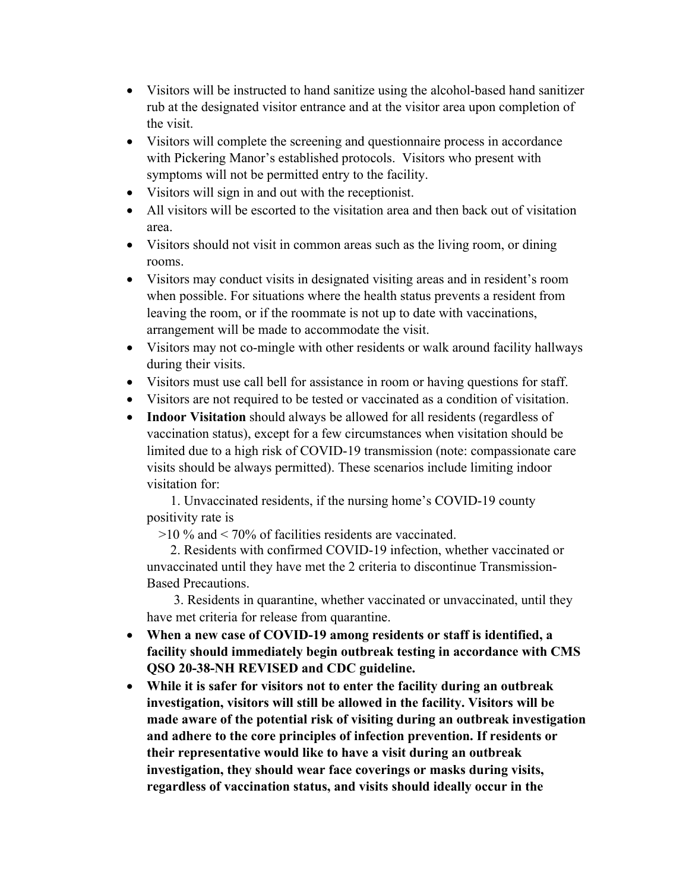- Visitors will be instructed to hand sanitize using the alcohol-based hand sanitizer rub at the designated visitor entrance and at the visitor area upon completion of the visit.
- Visitors will complete the screening and questionnaire process in accordance with Pickering Manor's established protocols. Visitors who present with symptoms will not be permitted entry to the facility.
- Visitors will sign in and out with the receptionist.
- All visitors will be escorted to the visitation area and then back out of visitation area.
- Visitors should not visit in common areas such as the living room, or dining rooms.
- Visitors may conduct visits in designated visiting areas and in resident's room when possible. For situations where the health status prevents a resident from leaving the room, or if the roommate is not up to date with vaccinations, arrangement will be made to accommodate the visit.
- Visitors may not co-mingle with other residents or walk around facility hallways during their visits.
- Visitors must use call bell for assistance in room or having questions for staff.
- Visitors are not required to be tested or vaccinated as a condition of visitation.
- **Indoor Visitation** should always be allowed for all residents (regardless of vaccination status), except for a few circumstances when visitation should be limited due to a high risk of COVID-19 transmission (note: compassionate care visits should be always permitted). These scenarios include limiting indoor visitation for:

 1. Unvaccinated residents, if the nursing home's COVID-19 county positivity rate is

>10 % and < 70% of facilities residents are vaccinated.

 2. Residents with confirmed COVID-19 infection, whether vaccinated or unvaccinated until they have met the 2 criteria to discontinue Transmission-Based Precautions.

 3. Residents in quarantine, whether vaccinated or unvaccinated, until they have met criteria for release from quarantine.

- **When a new case of COVID-19 among residents or staff is identified, a facility should immediately begin outbreak testing in accordance with CMS QSO 20-38-NH REVISED and CDC guideline.**
- **While it is safer for visitors not to enter the facility during an outbreak investigation, visitors will still be allowed in the facility. Visitors will be made aware of the potential risk of visiting during an outbreak investigation and adhere to the core principles of infection prevention. If residents or their representative would like to have a visit during an outbreak investigation, they should wear face coverings or masks during visits, regardless of vaccination status, and visits should ideally occur in the**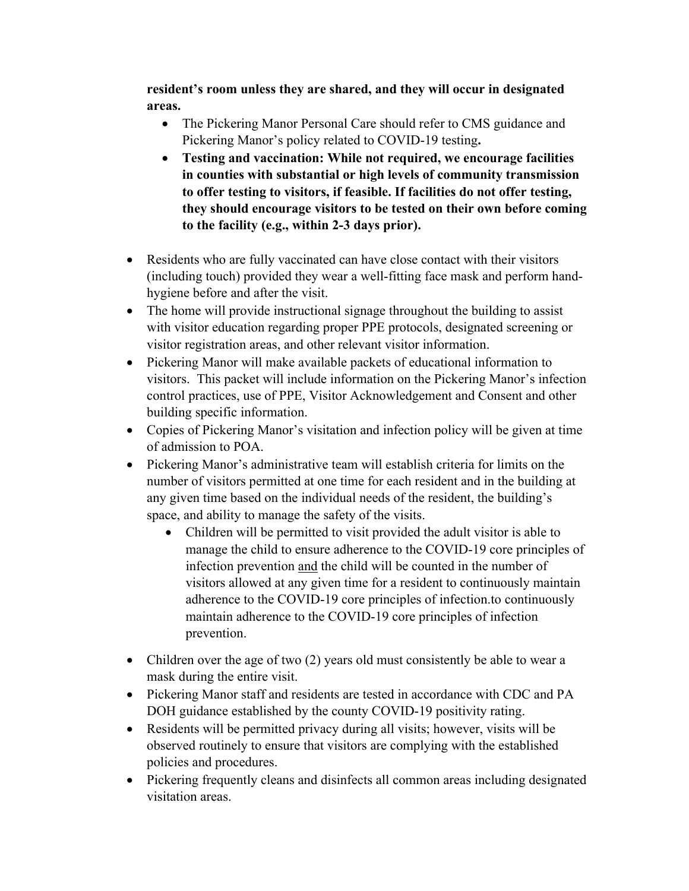**resident's room unless they are shared, and they will occur in designated areas.**

- The Pickering Manor Personal Care should refer to CMS guidance and Pickering Manor's policy related to COVID-19 testing**.**
- **Testing and vaccination: While not required, we encourage facilities in counties with substantial or high levels of community transmission to offer testing to visitors, if feasible. If facilities do not offer testing, they should encourage visitors to be tested on their own before coming to the facility (e.g., within 2-3 days prior).**
- Residents who are fully vaccinated can have close contact with their visitors (including touch) provided they wear a well-fitting face mask and perform handhygiene before and after the visit.
- The home will provide instructional signage throughout the building to assist with visitor education regarding proper PPE protocols, designated screening or visitor registration areas, and other relevant visitor information.
- Pickering Manor will make available packets of educational information to visitors. This packet will include information on the Pickering Manor's infection control practices, use of PPE, Visitor Acknowledgement and Consent and other building specific information.
- Copies of Pickering Manor's visitation and infection policy will be given at time of admission to POA.
- Pickering Manor's administrative team will establish criteria for limits on the number of visitors permitted at one time for each resident and in the building at any given time based on the individual needs of the resident, the building's space, and ability to manage the safety of the visits.
	- Children will be permitted to visit provided the adult visitor is able to manage the child to ensure adherence to the COVID-19 core principles of infection prevention and the child will be counted in the number of visitors allowed at any given time for a resident to continuously maintain adherence to the COVID-19 core principles of infection.to continuously maintain adherence to the COVID-19 core principles of infection prevention.
- Children over the age of two (2) years old must consistently be able to wear a mask during the entire visit.
- Pickering Manor staff and residents are tested in accordance with CDC and PA DOH guidance established by the county COVID-19 positivity rating.
- Residents will be permitted privacy during all visits; however, visits will be observed routinely to ensure that visitors are complying with the established policies and procedures.
- Pickering frequently cleans and disinfects all common areas including designated visitation areas.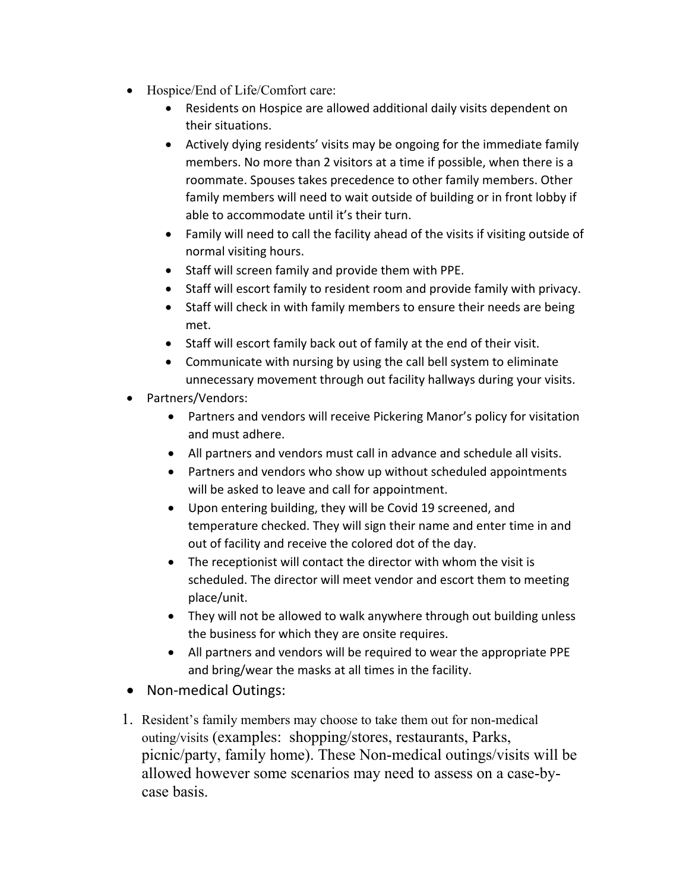- Hospice/End of Life/Comfort care:
	- Residents on Hospice are allowed additional daily visits dependent on their situations.
	- Actively dying residents' visits may be ongoing for the immediate family members. No more than 2 visitors at a time if possible, when there is a roommate. Spouses takes precedence to other family members. Other family members will need to wait outside of building or in front lobby if able to accommodate until it's their turn.
	- Family will need to call the facility ahead of the visits if visiting outside of normal visiting hours.
	- Staff will screen family and provide them with PPE.
	- Staff will escort family to resident room and provide family with privacy.
	- Staff will check in with family members to ensure their needs are being met.
	- Staff will escort family back out of family at the end of their visit.
	- Communicate with nursing by using the call bell system to eliminate unnecessary movement through out facility hallways during your visits.
- Partners/Vendors:
	- Partners and vendors will receive Pickering Manor's policy for visitation and must adhere.
	- All partners and vendors must call in advance and schedule all visits.
	- Partners and vendors who show up without scheduled appointments will be asked to leave and call for appointment.
	- Upon entering building, they will be Covid 19 screened, and temperature checked. They will sign their name and enter time in and out of facility and receive the colored dot of the day.
	- The receptionist will contact the director with whom the visit is scheduled. The director will meet vendor and escort them to meeting place/unit.
	- They will not be allowed to walk anywhere through out building unless the business for which they are onsite requires.
	- All partners and vendors will be required to wear the appropriate PPE and bring/wear the masks at all times in the facility.
- Non-medical Outings:
- 1. Resident's family members may choose to take them out for non-medical outing/visits (examples: shopping/stores, restaurants, Parks, picnic/party, family home). These Non-medical outings/visits will be allowed however some scenarios may need to assess on a case-bycase basis.